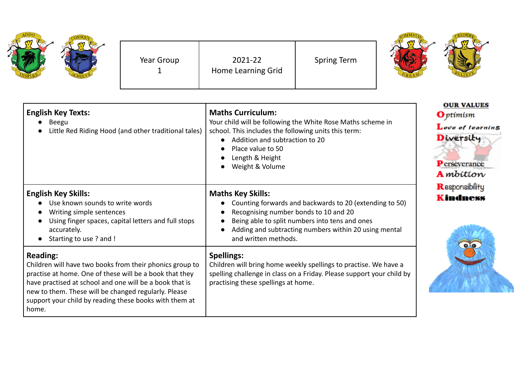| ADDO | Year Group | 2021-22<br>Home Learning Grid | <b>Spring Term</b> |  |
|------|------------|-------------------------------|--------------------|--|
|      |            |                               |                    |  |

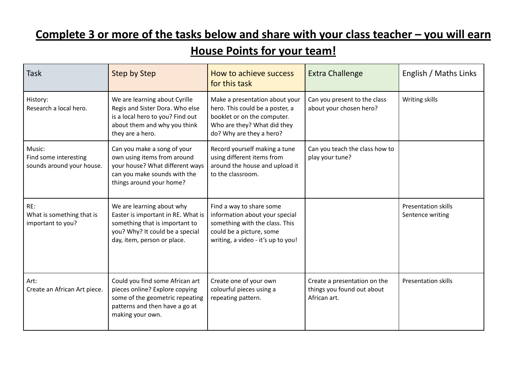## **Complete 3 or more of the tasks below and share with your class teacher – you will earn**

## **House Points for your team!**

| <b>Task</b>                                                  | Step by Step                                                                                                                                                        | How to achieve success<br>for this task                                                                                                                        | <b>Extra Challenge</b>                                                     | English / Maths Links                          |
|--------------------------------------------------------------|---------------------------------------------------------------------------------------------------------------------------------------------------------------------|----------------------------------------------------------------------------------------------------------------------------------------------------------------|----------------------------------------------------------------------------|------------------------------------------------|
| History:<br>Research a local hero.                           | We are learning about Cyrille<br>Regis and Sister Dora. Who else<br>is a local hero to you? Find out<br>about them and why you think<br>they are a hero.            | Make a presentation about your<br>hero. This could be a poster, a<br>booklet or on the computer.<br>Who are they? What did they<br>do? Why are they a hero?    | Can you present to the class<br>about your chosen hero?                    | Writing skills                                 |
| Music:<br>Find some interesting<br>sounds around your house. | Can you make a song of your<br>own using items from around<br>your house? What different ways<br>can you make sounds with the<br>things around your home?           | Record yourself making a tune<br>using different items from<br>around the house and upload it<br>to the classroom.                                             | Can you teach the class how to<br>play your tune?                          |                                                |
| RE:<br>What is something that is<br>important to you?        | We are learning about why<br>Easter is important in RE. What is<br>something that is important to<br>you? Why? It could be a special<br>day, item, person or place. | Find a way to share some<br>information about your special<br>something with the class. This<br>could be a picture, some<br>writing, a video - it's up to you! |                                                                            | <b>Presentation skills</b><br>Sentence writing |
| Art:<br>Create an African Art piece.                         | Could you find some African art<br>pieces online? Explore copying<br>some of the geometric repeating<br>patterns and then have a go at<br>making your own.          | Create one of your own<br>colourful pieces using a<br>repeating pattern.                                                                                       | Create a presentation on the<br>things you found out about<br>African art. | <b>Presentation skills</b>                     |